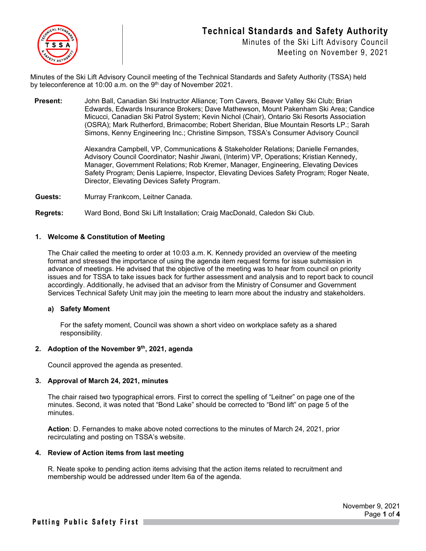

Minutes of the Ski Lift Advisory Council Meeting on November 9, 2021

Minutes of the Ski Lift Advisory Council meeting of the Technical Standards and Safety Authority (TSSA) held by teleconference at 10:00 a.m. on the  $9<sup>th</sup>$  day of November 2021.

**Present:** John Ball, Canadian Ski Instructor Alliance; Tom Cavers, Beaver Valley Ski Club; Brian Edwards, Edwards Insurance Brokers; Dave Mathewson, Mount Pakenham Ski Area; Candice Micucci, Canadian Ski Patrol System; Kevin Nichol (Chair), Ontario Ski Resorts Association (OSRA); Mark Rutherford, Brimacombe; Robert Sheridan, Blue Mountain Resorts LP.; Sarah Simons, Kenny Engineering Inc.; Christine Simpson, TSSA's Consumer Advisory Council

> Alexandra Campbell, VP, Communications & Stakeholder Relations; Danielle Fernandes, Advisory Council Coordinator; Nashir Jiwani, (Interim) VP, Operations; Kristian Kennedy, Manager, Government Relations; Rob Kremer, Manager, Engineering, Elevating Devices Safety Program; Denis Lapierre, Inspector, Elevating Devices Safety Program; Roger Neate, Director, Elevating Devices Safety Program.

**Guests:** Murray Frankcom, Leitner Canada.

**Regrets:** Ward Bond, Bond Ski Lift Installation; Craig MacDonald, Caledon Ski Club.

#### **1. Welcome & Constitution of Meeting**

The Chair called the meeting to order at 10:03 a.m. K. Kennedy provided an overview of the meeting format and stressed the importance of using the agenda item request forms for issue submission in advance of meetings. He advised that the objective of the meeting was to hear from council on priority issues and for TSSA to take issues back for further assessment and analysis and to report back to council accordingly. Additionally, he advised that an advisor from the Ministry of Consumer and Government Services Technical Safety Unit may join the meeting to learn more about the industry and stakeholders.

#### **a) Safety Moment**

For the safety moment, Council was shown a short video on workplace safety as a shared responsibility.

#### **2. Adoption of the November 9th, 2021, agenda**

Council approved the agenda as presented.

#### **3. Approval of March 24, 2021, minutes**

The chair raised two typographical errors. First to correct the spelling of "Leitner" on page one of the minutes. Second, it was noted that "Bond Lake" should be corrected to "Bond lift" on page 5 of the minutes.

**Action**: D. Fernandes to make above noted corrections to the minutes of March 24, 2021, prior recirculating and posting on TSSA's website.

#### **4. Review of Action items from last meeting**

R. Neate spoke to pending action items advising that the action items related to recruitment and membership would be addressed under Item 6a of the agenda.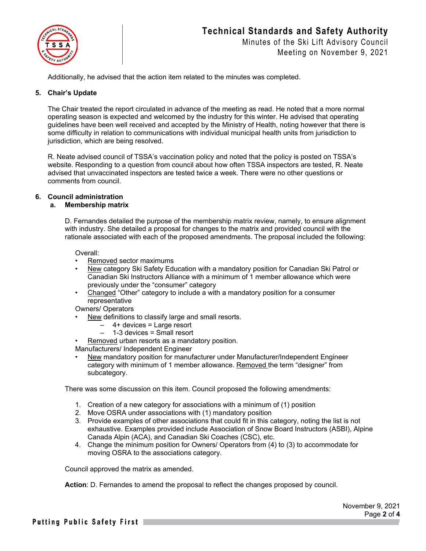

### Minutes of the Ski Lift Advisory Council Meeting on November 9, 2021

Additionally, he advised that the action item related to the minutes was completed.

#### **5. Chair's Update**

The Chair treated the report circulated in advance of the meeting as read. He noted that a more normal operating season is expected and welcomed by the industry for this winter. He advised that operating guidelines have been well received and accepted by the Ministry of Health, noting however that there is some difficulty in relation to communications with individual municipal health units from jurisdiction to jurisdiction, which are being resolved.

R. Neate advised council of TSSA's vaccination policy and noted that the policy is posted on TSSA's website. Responding to a question from council about how often TSSA inspectors are tested, R. Neate advised that unvaccinated inspectors are tested twice a week. There were no other questions or comments from council.

#### **6. Council administration**

#### **a. Membership matrix**

D. Fernandes detailed the purpose of the membership matrix review, namely, to ensure alignment with industry. She detailed a proposal for changes to the matrix and provided council with the rationale associated with each of the proposed amendments. The proposal included the following:

Overall:

- Removed sector maximums
- New category Ski Safety Education with a mandatory position for Canadian Ski Patrol or Canadian Ski Instructors Alliance with a minimum of 1 member allowance which were previously under the "consumer" category
- Changed "Other" category to include a with a mandatory position for a consumer representative

Owners/ Operators

- New definitions to classify large and small resorts.
	- $-$  4+ devices = Large resort
	- 1-3 devices = Small resort
- Removed urban resorts as a mandatory position.

Manufacturers/ Independent Engineer

• New mandatory position for manufacturer under Manufacturer/Independent Engineer category with minimum of 1 member allowance. Removed the term "designer" from subcategory.

There was some discussion on this item. Council proposed the following amendments:

- 1. Creation of a new category for associations with a minimum of (1) position
- 2. Move OSRA under associations with (1) mandatory position
- 3. Provide examples of other associations that could fit in this category, noting the list is not exhaustive. Examples provided include Association of Snow Board Instructors (ASBI), Alpine Canada Alpin (ACA), and Canadian Ski Coaches (CSC), etc.
- 4. Change the minimum position for Owners/ Operators from (4) to (3) to accommodate for moving OSRA to the associations category.

Council approved the matrix as amended.

**Action**: D. Fernandes to amend the proposal to reflect the changes proposed by council.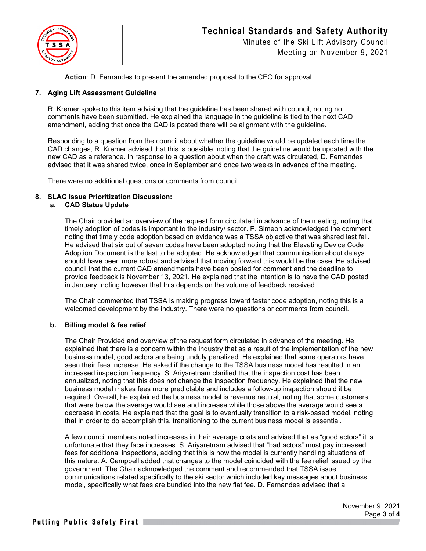

Minutes of the Ski Lift Advisory Council Meeting on November 9, 2021

**Action**: D. Fernandes to present the amended proposal to the CEO for approval.

#### **7. Aging Lift Assessment Guideline**

R. Kremer spoke to this item advising that the guideline has been shared with council, noting no comments have been submitted. He explained the language in the guideline is tied to the next CAD amendment, adding that once the CAD is posted there will be alignment with the guideline.

Responding to a question from the council about whether the guideline would be updated each time the CAD changes, R. Kremer advised that this is possible, noting that the guideline would be updated with the new CAD as a reference. In response to a question about when the draft was circulated, D. Fernandes advised that it was shared twice, once in September and once two weeks in advance of the meeting.

There were no additional questions or comments from council.

#### **8. SLAC Issue Prioritization Discussion:**

#### **a. CAD Status Update**

The Chair provided an overview of the request form circulated in advance of the meeting, noting that timely adoption of codes is important to the industry/ sector. P. Simeon acknowledged the comment noting that timely code adoption based on evidence was a TSSA objective that was shared last fall. He advised that six out of seven codes have been adopted noting that the Elevating Device Code Adoption Document is the last to be adopted. He acknowledged that communication about delays should have been more robust and advised that moving forward this would be the case. He advised council that the current CAD amendments have been posted for comment and the deadline to provide feedback is November 13, 2021. He explained that the intention is to have the CAD posted in January, noting however that this depends on the volume of feedback received.

The Chair commented that TSSA is making progress toward faster code adoption, noting this is a welcomed development by the industry. There were no questions or comments from council.

#### **b. Billing model & fee relief**

The Chair Provided and overview of the request form circulated in advance of the meeting. He explained that there is a concern within the industry that as a result of the implementation of the new business model, good actors are being unduly penalized. He explained that some operators have seen their fees increase. He asked if the change to the TSSA business model has resulted in an increased inspection frequency. S. Ariyaretnam clarified that the inspection cost has been annualized, noting that this does not change the inspection frequency. He explained that the new business model makes fees more predictable and includes a follow-up inspection should it be required. Overall, he explained the business model is revenue neutral, noting that some customers that were below the average would see and increase while those above the average would see a decrease in costs. He explained that the goal is to eventually transition to a risk-based model, noting that in order to do accomplish this, transitioning to the current business model is essential.

A few council members noted increases in their average costs and advised that as "good actors" it is unfortunate that they face increases. S. Ariyaretnam advised that "bad actors" must pay increased fees for additional inspections, adding that this is how the model is currently handling situations of this nature. A. Campbell added that changes to the model coincided with the fee relief issued by the government. The Chair acknowledged the comment and recommended that TSSA issue communications related specifically to the ski sector which included key messages about business model, specifically what fees are bundled into the new flat fee. D. Fernandes advised that a

> November 9, 2021 Page **3** of **4**